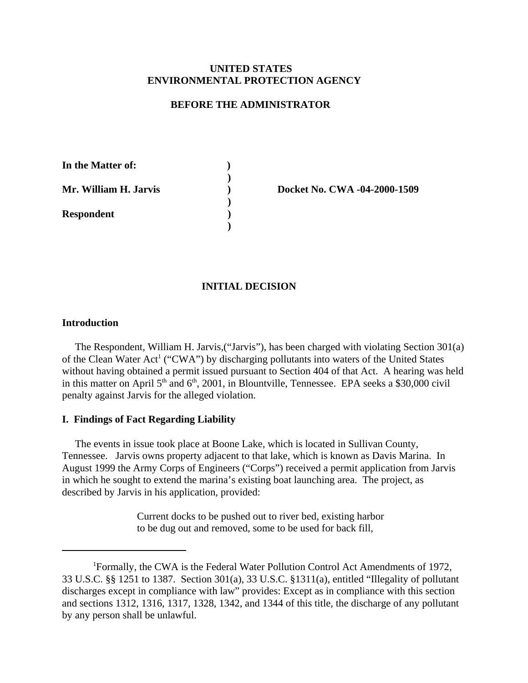# **UNITED STATES ENVIRONMENTAL PROTECTION AGENCY**

### **BEFORE THE ADMINISTRATOR**

| In the Matter of:     |  |
|-----------------------|--|
|                       |  |
| Mr. William H. Jarvis |  |
|                       |  |
| <b>Respondent</b>     |  |
|                       |  |

**) Docket No. CWA -04-2000-1509**

# **INITIAL DECISION**

### **Introduction**

The Respondent, William H. Jarvis,("Jarvis"), has been charged with violating Section 301(a) of the Clean Water Act<sup>1</sup> ("CWA") by discharging pollutants into waters of the United States without having obtained a permit issued pursuant to Section 404 of that Act. A hearing was held in this matter on April  $5<sup>th</sup>$  and  $6<sup>th</sup>$ , 2001, in Blountville, Tennessee. EPA seeks a \$30,000 civil penalty against Jarvis for the alleged violation.

#### **I. Findings of Fact Regarding Liability**

The events in issue took place at Boone Lake, which is located in Sullivan County, Tennessee. Jarvis owns property adjacent to that lake, which is known as Davis Marina. In August 1999 the Army Corps of Engineers ("Corps") received a permit application from Jarvis in which he sought to extend the marina's existing boat launching area. The project, as described by Jarvis in his application, provided:

> Current docks to be pushed out to river bed, existing harbor to be dug out and removed, some to be used for back fill,

<sup>&</sup>lt;sup>1</sup>Formally, the CWA is the Federal Water Pollution Control Act Amendments of 1972, 33 U.S.C. §§ 1251 to 1387. Section 301(a), 33 U.S.C. §1311(a), entitled "Illegality of pollutant discharges except in compliance with law" provides: Except as in compliance with this section and sections 1312, 1316, 1317, 1328, 1342, and 1344 of this title, the discharge of any pollutant by any person shall be unlawful.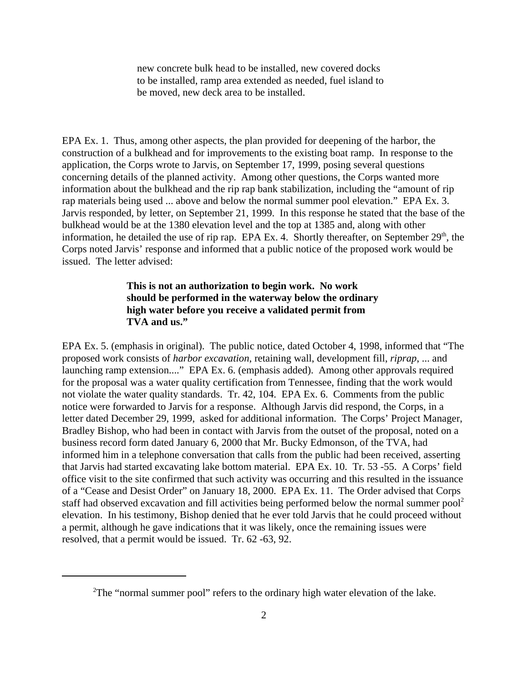new concrete bulk head to be installed, new covered docks to be installed, ramp area extended as needed, fuel island to be moved, new deck area to be installed.

EPA Ex. 1. Thus, among other aspects, the plan provided for deepening of the harbor, the construction of a bulkhead and for improvements to the existing boat ramp. In response to the application, the Corps wrote to Jarvis, on September 17, 1999, posing several questions concerning details of the planned activity. Among other questions, the Corps wanted more information about the bulkhead and the rip rap bank stabilization, including the "amount of rip rap materials being used ... above and below the normal summer pool elevation." EPA Ex. 3. Jarvis responded, by letter, on September 21, 1999. In this response he stated that the base of the bulkhead would be at the 1380 elevation level and the top at 1385 and, along with other information, he detailed the use of rip rap. EPA Ex. 4. Shortly thereafter, on September  $29<sup>th</sup>$ , the Corps noted Jarvis' response and informed that a public notice of the proposed work would be issued. The letter advised:

# **This is not an authorization to begin work. No work should be performed in the waterway below the ordinary high water before you receive a validated permit from TVA and us."**

EPA Ex. 5. (emphasis in original). The public notice, dated October 4, 1998, informed that "The proposed work consists of *harbor excavation*, retaining wall, development fill, *riprap*, ... and launching ramp extension...." EPA Ex. 6. (emphasis added). Among other approvals required for the proposal was a water quality certification from Tennessee, finding that the work would not violate the water quality standards. Tr. 42, 104. EPA Ex. 6. Comments from the public notice were forwarded to Jarvis for a response. Although Jarvis did respond, the Corps, in a letter dated December 29, 1999, asked for additional information. The Corps' Project Manager, Bradley Bishop, who had been in contact with Jarvis from the outset of the proposal, noted on a business record form dated January 6, 2000 that Mr. Bucky Edmonson, of the TVA, had informed him in a telephone conversation that calls from the public had been received, asserting that Jarvis had started excavating lake bottom material. EPA Ex. 10. Tr. 53 -55. A Corps' field office visit to the site confirmed that such activity was occurring and this resulted in the issuance of a "Cease and Desist Order" on January 18, 2000. EPA Ex. 11. The Order advised that Corps staff had observed excavation and fill activities being performed below the normal summer pool<sup>2</sup> elevation. In his testimony, Bishop denied that he ever told Jarvis that he could proceed without a permit, although he gave indications that it was likely, once the remaining issues were resolved, that a permit would be issued. Tr. 62 -63, 92.

<sup>&</sup>lt;sup>2</sup>The "normal summer pool" refers to the ordinary high water elevation of the lake.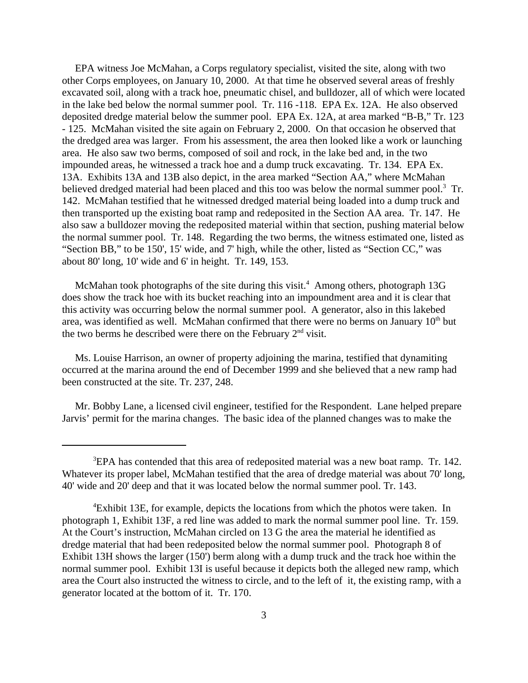EPA witness Joe McMahan, a Corps regulatory specialist, visited the site, along with two other Corps employees, on January 10, 2000. At that time he observed several areas of freshly excavated soil, along with a track hoe, pneumatic chisel, and bulldozer, all of which were located in the lake bed below the normal summer pool. Tr. 116 -118. EPA Ex. 12A. He also observed deposited dredge material below the summer pool. EPA Ex. 12A, at area marked "B-B," Tr. 123 - 125. McMahan visited the site again on February 2, 2000. On that occasion he observed that the dredged area was larger. From his assessment, the area then looked like a work or launching area. He also saw two berms, composed of soil and rock, in the lake bed and, in the two impounded areas, he witnessed a track hoe and a dump truck excavating. Tr. 134. EPA Ex. 13A. Exhibits 13A and 13B also depict, in the area marked "Section AA," where McMahan believed dredged material had been placed and this too was below the normal summer pool.<sup>3</sup> Tr. 142. McMahan testified that he witnessed dredged material being loaded into a dump truck and then transported up the existing boat ramp and redeposited in the Section AA area. Tr. 147. He also saw a bulldozer moving the redeposited material within that section, pushing material below the normal summer pool. Tr. 148. Regarding the two berms, the witness estimated one, listed as "Section BB," to be 150', 15' wide, and 7' high, while the other, listed as "Section CC," was about 80' long, 10' wide and 6' in height. Tr. 149, 153.

McMahan took photographs of the site during this visit.<sup>4</sup> Among others, photograph 13G does show the track hoe with its bucket reaching into an impoundment area and it is clear that this activity was occurring below the normal summer pool. A generator, also in this lakebed area, was identified as well. McMahan confirmed that there were no berms on January  $10<sup>th</sup>$  but the two berms he described were there on the February  $2<sup>nd</sup>$  visit.

Ms. Louise Harrison, an owner of property adjoining the marina, testified that dynamiting occurred at the marina around the end of December 1999 and she believed that a new ramp had been constructed at the site. Tr. 237, 248.

Mr. Bobby Lane, a licensed civil engineer, testified for the Respondent. Lane helped prepare Jarvis' permit for the marina changes. The basic idea of the planned changes was to make the

 ${}^{3}$ EPA has contended that this area of redeposited material was a new boat ramp. Tr. 142. Whatever its proper label, McMahan testified that the area of dredge material was about 70' long, 40' wide and 20' deep and that it was located below the normal summer pool. Tr. 143.

<sup>&</sup>lt;sup>4</sup>Exhibit 13E, for example, depicts the locations from which the photos were taken. In photograph 1, Exhibit 13F, a red line was added to mark the normal summer pool line. Tr. 159. At the Court's instruction, McMahan circled on 13 G the area the material he identified as dredge material that had been redeposited below the normal summer pool. Photograph 8 of Exhibit 13H shows the larger (150') berm along with a dump truck and the track hoe within the normal summer pool. Exhibit 13I is useful because it depicts both the alleged new ramp, which area the Court also instructed the witness to circle, and to the left of it, the existing ramp, with a generator located at the bottom of it. Tr. 170.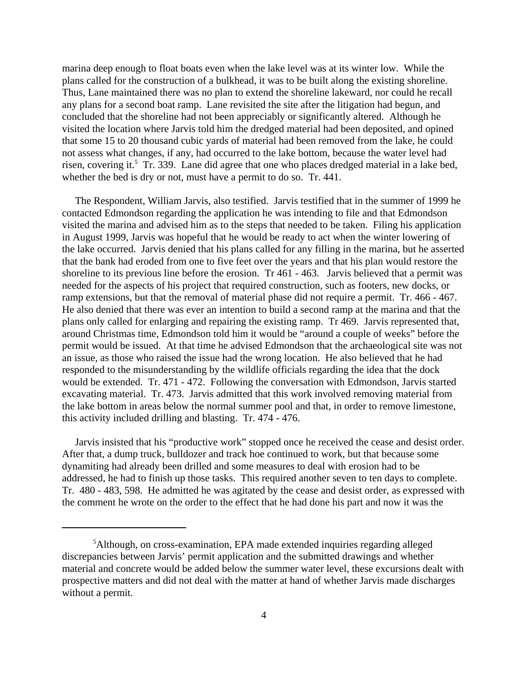marina deep enough to float boats even when the lake level was at its winter low. While the plans called for the construction of a bulkhead, it was to be built along the existing shoreline. Thus, Lane maintained there was no plan to extend the shoreline lakeward, nor could he recall any plans for a second boat ramp. Lane revisited the site after the litigation had begun, and concluded that the shoreline had not been appreciably or significantly altered. Although he visited the location where Jarvis told him the dredged material had been deposited, and opined that some 15 to 20 thousand cubic yards of material had been removed from the lake, he could not assess what changes, if any, had occurred to the lake bottom, because the water level had risen, covering it.<sup>5</sup> Tr. 339. Lane did agree that one who places dredged material in a lake bed, whether the bed is dry or not, must have a permit to do so. Tr. 441.

The Respondent, William Jarvis, also testified. Jarvis testified that in the summer of 1999 he contacted Edmondson regarding the application he was intending to file and that Edmondson visited the marina and advised him as to the steps that needed to be taken. Filing his application in August 1999, Jarvis was hopeful that he would be ready to act when the winter lowering of the lake occurred. Jarvis denied that his plans called for any filling in the marina, but he asserted that the bank had eroded from one to five feet over the years and that his plan would restore the shoreline to its previous line before the erosion. Tr 461 - 463. Jarvis believed that a permit was needed for the aspects of his project that required construction, such as footers, new docks, or ramp extensions, but that the removal of material phase did not require a permit. Tr. 466 - 467. He also denied that there was ever an intention to build a second ramp at the marina and that the plans only called for enlarging and repairing the existing ramp. Tr 469. Jarvis represented that, around Christmas time, Edmondson told him it would be "around a couple of weeks" before the permit would be issued. At that time he advised Edmondson that the archaeological site was not an issue, as those who raised the issue had the wrong location. He also believed that he had responded to the misunderstanding by the wildlife officials regarding the idea that the dock would be extended. Tr. 471 - 472. Following the conversation with Edmondson, Jarvis started excavating material. Tr. 473. Jarvis admitted that this work involved removing material from the lake bottom in areas below the normal summer pool and that, in order to remove limestone, this activity included drilling and blasting. Tr. 474 - 476.

Jarvis insisted that his "productive work" stopped once he received the cease and desist order. After that, a dump truck, bulldozer and track hoe continued to work, but that because some dynamiting had already been drilled and some measures to deal with erosion had to be addressed, he had to finish up those tasks. This required another seven to ten days to complete. Tr. 480 - 483, 598. He admitted he was agitated by the cease and desist order, as expressed with the comment he wrote on the order to the effect that he had done his part and now it was the

<sup>&</sup>lt;sup>5</sup>Although, on cross-examination, EPA made extended inquiries regarding alleged discrepancies between Jarvis' permit application and the submitted drawings and whether material and concrete would be added below the summer water level, these excursions dealt with prospective matters and did not deal with the matter at hand of whether Jarvis made discharges without a permit.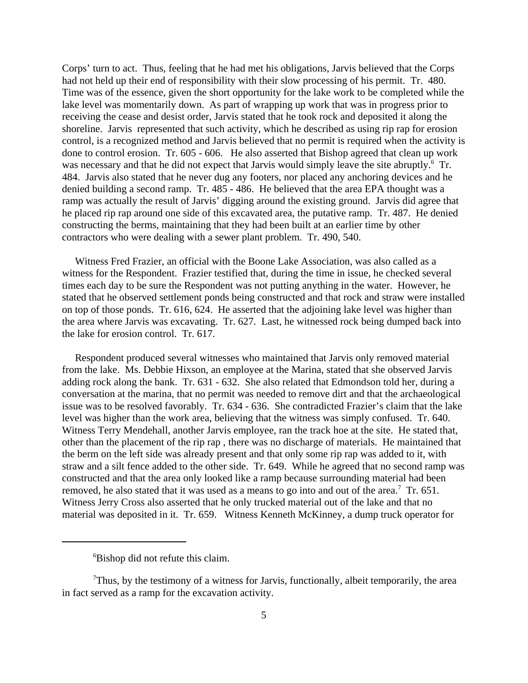Corps' turn to act. Thus, feeling that he had met his obligations, Jarvis believed that the Corps had not held up their end of responsibility with their slow processing of his permit. Tr. 480. Time was of the essence, given the short opportunity for the lake work to be completed while the lake level was momentarily down. As part of wrapping up work that was in progress prior to receiving the cease and desist order, Jarvis stated that he took rock and deposited it along the shoreline. Jarvis represented that such activity, which he described as using rip rap for erosion control, is a recognized method and Jarvis believed that no permit is required when the activity is done to control erosion. Tr. 605 - 606. He also asserted that Bishop agreed that clean up work was necessary and that he did not expect that Jarvis would simply leave the site abruptly.<sup>6</sup> Tr. 484. Jarvis also stated that he never dug any footers, nor placed any anchoring devices and he denied building a second ramp. Tr. 485 - 486. He believed that the area EPA thought was a ramp was actually the result of Jarvis' digging around the existing ground. Jarvis did agree that he placed rip rap around one side of this excavated area, the putative ramp. Tr. 487. He denied constructing the berms, maintaining that they had been built at an earlier time by other contractors who were dealing with a sewer plant problem. Tr. 490, 540.

Witness Fred Frazier, an official with the Boone Lake Association, was also called as a witness for the Respondent. Frazier testified that, during the time in issue, he checked several times each day to be sure the Respondent was not putting anything in the water. However, he stated that he observed settlement ponds being constructed and that rock and straw were installed on top of those ponds. Tr. 616, 624. He asserted that the adjoining lake level was higher than the area where Jarvis was excavating. Tr. 627. Last, he witnessed rock being dumped back into the lake for erosion control. Tr. 617.

Respondent produced several witnesses who maintained that Jarvis only removed material from the lake. Ms. Debbie Hixson, an employee at the Marina, stated that she observed Jarvis adding rock along the bank. Tr. 631 - 632. She also related that Edmondson told her, during a conversation at the marina, that no permit was needed to remove dirt and that the archaeological issue was to be resolved favorably. Tr. 634 - 636. She contradicted Frazier's claim that the lake level was higher than the work area, believing that the witness was simply confused. Tr. 640. Witness Terry Mendehall, another Jarvis employee, ran the track hoe at the site. He stated that, other than the placement of the rip rap , there was no discharge of materials. He maintained that the berm on the left side was already present and that only some rip rap was added to it, with straw and a silt fence added to the other side. Tr. 649. While he agreed that no second ramp was constructed and that the area only looked like a ramp because surrounding material had been removed, he also stated that it was used as a means to go into and out of the area.<sup>7</sup> Tr. 651. Witness Jerry Cross also asserted that he only trucked material out of the lake and that no material was deposited in it. Tr. 659. Witness Kenneth McKinney, a dump truck operator for

<sup>6</sup> Bishop did not refute this claim.

 $7$ Thus, by the testimony of a witness for Jarvis, functionally, albeit temporarily, the area in fact served as a ramp for the excavation activity.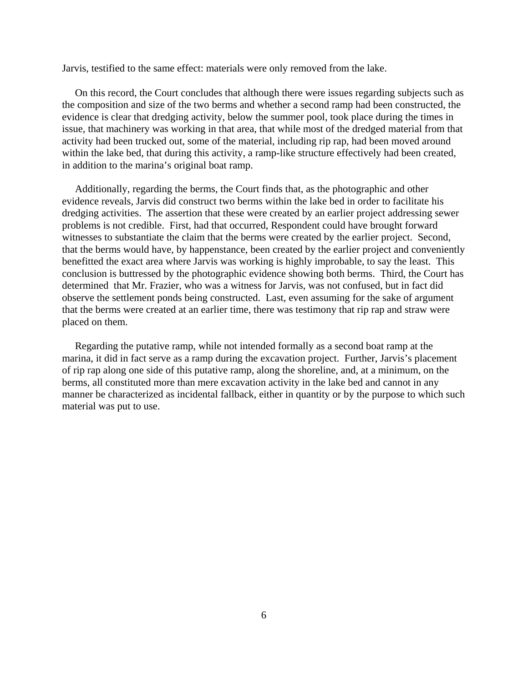Jarvis, testified to the same effect: materials were only removed from the lake.

On this record, the Court concludes that although there were issues regarding subjects such as the composition and size of the two berms and whether a second ramp had been constructed, the evidence is clear that dredging activity, below the summer pool, took place during the times in issue, that machinery was working in that area, that while most of the dredged material from that activity had been trucked out, some of the material, including rip rap, had been moved around within the lake bed, that during this activity, a ramp-like structure effectively had been created, in addition to the marina's original boat ramp.

Additionally, regarding the berms, the Court finds that, as the photographic and other evidence reveals, Jarvis did construct two berms within the lake bed in order to facilitate his dredging activities. The assertion that these were created by an earlier project addressing sewer problems is not credible. First, had that occurred, Respondent could have brought forward witnesses to substantiate the claim that the berms were created by the earlier project. Second, that the berms would have, by happenstance, been created by the earlier project and conveniently benefitted the exact area where Jarvis was working is highly improbable, to say the least. This conclusion is buttressed by the photographic evidence showing both berms. Third, the Court has determined that Mr. Frazier, who was a witness for Jarvis, was not confused, but in fact did observe the settlement ponds being constructed. Last, even assuming for the sake of argument that the berms were created at an earlier time, there was testimony that rip rap and straw were placed on them.

Regarding the putative ramp, while not intended formally as a second boat ramp at the marina, it did in fact serve as a ramp during the excavation project. Further, Jarvis's placement of rip rap along one side of this putative ramp, along the shoreline, and, at a minimum, on the berms, all constituted more than mere excavation activity in the lake bed and cannot in any manner be characterized as incidental fallback, either in quantity or by the purpose to which such material was put to use.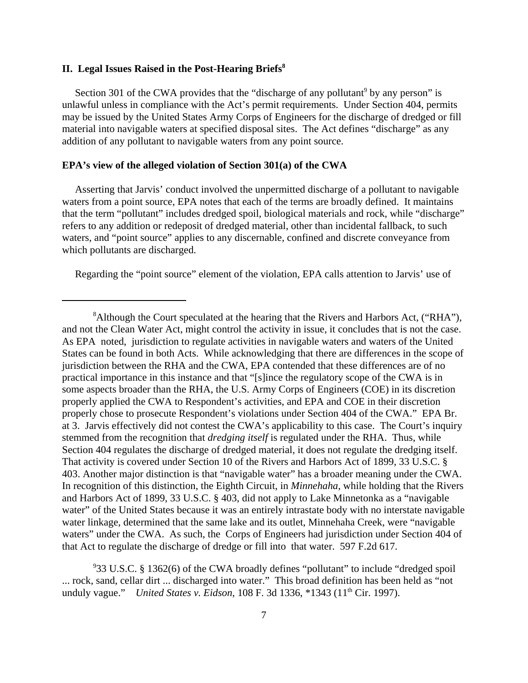### **II. Legal Issues Raised in the Post-Hearing Briefs8**

Section 301 of the CWA provides that the "discharge of any pollutant<sup>9</sup> by any person" is unlawful unless in compliance with the Act's permit requirements. Under Section 404, permits may be issued by the United States Army Corps of Engineers for the discharge of dredged or fill material into navigable waters at specified disposal sites. The Act defines "discharge" as any addition of any pollutant to navigable waters from any point source.

#### **EPA's view of the alleged violation of Section 301(a) of the CWA**

Asserting that Jarvis' conduct involved the unpermitted discharge of a pollutant to navigable waters from a point source, EPA notes that each of the terms are broadly defined. It maintains that the term "pollutant" includes dredged spoil, biological materials and rock, while "discharge" refers to any addition or redeposit of dredged material, other than incidental fallback, to such waters, and "point source" applies to any discernable, confined and discrete conveyance from which pollutants are discharged.

Regarding the "point source" element of the violation, EPA calls attention to Jarvis' use of

<sup>&</sup>lt;sup>8</sup> Although the Court speculated at the hearing that the Rivers and Harbors Act, ("RHA"), and not the Clean Water Act, might control the activity in issue, it concludes that is not the case. As EPA noted, jurisdiction to regulate activities in navigable waters and waters of the United States can be found in both Acts. While acknowledging that there are differences in the scope of jurisdiction between the RHA and the CWA, EPA contended that these differences are of no practical importance in this instance and that "[s]ince the regulatory scope of the CWA is in some aspects broader than the RHA, the U.S. Army Corps of Engineers (COE) in its discretion properly applied the CWA to Respondent's activities, and EPA and COE in their discretion properly chose to prosecute Respondent's violations under Section 404 of the CWA." EPA Br. at 3. Jarvis effectively did not contest the CWA's applicability to this case. The Court's inquiry stemmed from the recognition that *dredging itself* is regulated under the RHA. Thus, while Section 404 regulates the discharge of dredged material, it does not regulate the dredging itself. That activity is covered under Section 10 of the Rivers and Harbors Act of 1899, 33 U.S.C. § 403. Another major distinction is that "navigable water" has a broader meaning under the CWA. In recognition of this distinction, the Eighth Circuit, in *Minnehaha*, while holding that the Rivers and Harbors Act of 1899, 33 U.S.C. § 403, did not apply to Lake Minnetonka as a "navigable water" of the United States because it was an entirely intrastate body with no interstate navigable water linkage, determined that the same lake and its outlet, Minnehaha Creek, were "navigable waters" under the CWA. As such, the Corps of Engineers had jurisdiction under Section 404 of that Act to regulate the discharge of dredge or fill into that water. 597 F.2d 617.

<sup>9</sup> 33 U.S.C. § 1362(6) of the CWA broadly defines "pollutant" to include "dredged spoil ... rock, sand, cellar dirt ... discharged into water." This broad definition has been held as "not unduly vague." *United States v. Eidson*, 108 F. 3d 1336, \*1343 (11<sup>th</sup> Cir. 1997).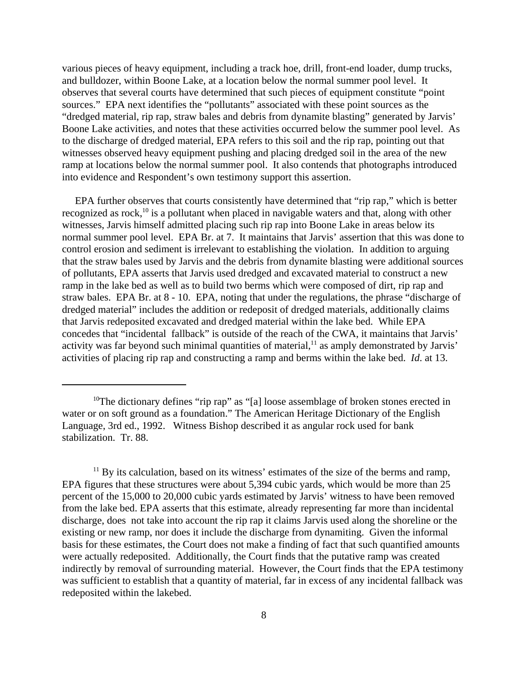various pieces of heavy equipment, including a track hoe, drill, front-end loader, dump trucks, and bulldozer, within Boone Lake, at a location below the normal summer pool level. It observes that several courts have determined that such pieces of equipment constitute "point sources." EPA next identifies the "pollutants" associated with these point sources as the "dredged material, rip rap, straw bales and debris from dynamite blasting" generated by Jarvis' Boone Lake activities, and notes that these activities occurred below the summer pool level. As to the discharge of dredged material, EPA refers to this soil and the rip rap, pointing out that witnesses observed heavy equipment pushing and placing dredged soil in the area of the new ramp at locations below the normal summer pool. It also contends that photographs introduced into evidence and Respondent's own testimony support this assertion.

EPA further observes that courts consistently have determined that "rip rap," which is better recognized as rock, $10$  is a pollutant when placed in navigable waters and that, along with other witnesses, Jarvis himself admitted placing such rip rap into Boone Lake in areas below its normal summer pool level. EPA Br. at 7. It maintains that Jarvis' assertion that this was done to control erosion and sediment is irrelevant to establishing the violation. In addition to arguing that the straw bales used by Jarvis and the debris from dynamite blasting were additional sources of pollutants, EPA asserts that Jarvis used dredged and excavated material to construct a new ramp in the lake bed as well as to build two berms which were composed of dirt, rip rap and straw bales. EPA Br. at 8 - 10. EPA, noting that under the regulations, the phrase "discharge of dredged material" includes the addition or redeposit of dredged materials, additionally claims that Jarvis redeposited excavated and dredged material within the lake bed. While EPA concedes that "incidental fallback" is outside of the reach of the CWA, it maintains that Jarvis' activity was far beyond such minimal quantities of material,<sup>11</sup> as amply demonstrated by Jarvis' activities of placing rip rap and constructing a ramp and berms within the lake bed. *Id*. at 13.

<sup>&</sup>lt;sup>10</sup>The dictionary defines "rip rap" as "[a] loose assemblage of broken stones erected in water or on soft ground as a foundation." The American Heritage Dictionary of the English Language, 3rd ed., 1992. Witness Bishop described it as angular rock used for bank stabilization. Tr. 88.

 $11$  By its calculation, based on its witness' estimates of the size of the berms and ramp, EPA figures that these structures were about 5,394 cubic yards, which would be more than 25 percent of the 15,000 to 20,000 cubic yards estimated by Jarvis' witness to have been removed from the lake bed. EPA asserts that this estimate, already representing far more than incidental discharge, does not take into account the rip rap it claims Jarvis used along the shoreline or the existing or new ramp, nor does it include the discharge from dynamiting. Given the informal basis for these estimates, the Court does not make a finding of fact that such quantified amounts were actually redeposited. Additionally, the Court finds that the putative ramp was created indirectly by removal of surrounding material. However, the Court finds that the EPA testimony was sufficient to establish that a quantity of material, far in excess of any incidental fallback was redeposited within the lakebed.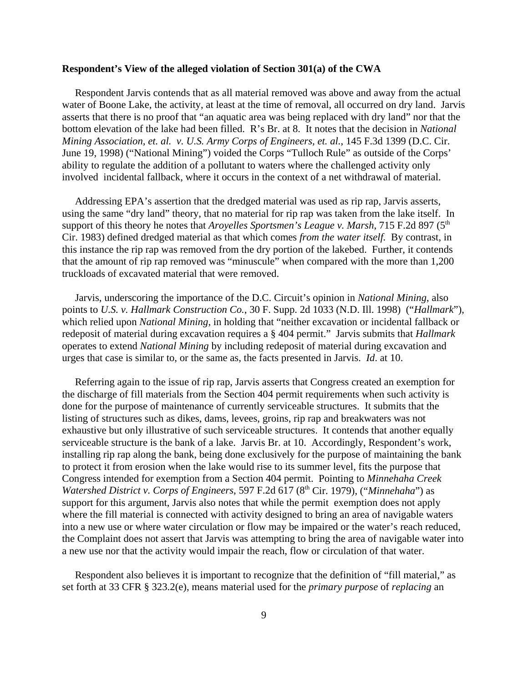### **Respondent's View of the alleged violation of Section 301(a) of the CWA**

Respondent Jarvis contends that as all material removed was above and away from the actual water of Boone Lake, the activity, at least at the time of removal, all occurred on dry land. Jarvis asserts that there is no proof that "an aquatic area was being replaced with dry land" nor that the bottom elevation of the lake had been filled. R's Br. at 8. It notes that the decision in *National Mining Association, et. al. v. U.S. Army Corps of Engineers, et. al.*, 145 F.3d 1399 (D.C. Cir. June 19, 1998) ("National Mining") voided the Corps "Tulloch Rule" as outside of the Corps' ability to regulate the addition of a pollutant to waters where the challenged activity only involved incidental fallback, where it occurs in the context of a net withdrawal of material.

Addressing EPA's assertion that the dredged material was used as rip rap, Jarvis asserts, using the same "dry land" theory, that no material for rip rap was taken from the lake itself. In support of this theory he notes that *Aroyelles Sportsmen's League v. Marsh*, 715 F.2d 897 (5<sup>th</sup>) Cir. 1983) defined dredged material as that which comes *from the water itself.* By contrast, in this instance the rip rap was removed from the dry portion of the lakebed. Further, it contends that the amount of rip rap removed was "minuscule" when compared with the more than 1,200 truckloads of excavated material that were removed.

Jarvis, underscoring the importance of the D.C. Circuit's opinion in *National Mining*, also points to *U.S. v. Hallmark Construction Co.*, 30 F. Supp. 2d 1033 (N.D. Ill. 1998) ("*Hallmark*"), which relied upon *National Mining*, in holding that "neither excavation or incidental fallback or redeposit of material during excavation requires a § 404 permit." Jarvis submits that *Hallmark*  operates to extend *National Mining* by including redeposit of material during excavation and urges that case is similar to, or the same as, the facts presented in Jarvis. *Id*. at 10.

Referring again to the issue of rip rap, Jarvis asserts that Congress created an exemption for the discharge of fill materials from the Section 404 permit requirements when such activity is done for the purpose of maintenance of currently serviceable structures. It submits that the listing of structures such as dikes, dams, levees, groins, rip rap and breakwaters was not exhaustive but only illustrative of such serviceable structures. It contends that another equally serviceable structure is the bank of a lake. Jarvis Br. at 10. Accordingly, Respondent's work, installing rip rap along the bank, being done exclusively for the purpose of maintaining the bank to protect it from erosion when the lake would rise to its summer level, fits the purpose that Congress intended for exemption from a Section 404 permit. Pointing to *Minnehaha Creek Watershed District v. Corps of Engineers,* 597 F.2d 617 (8<sup>th</sup> Cir. 1979), ("*Minnehaha*") as support for this argument, Jarvis also notes that while the permit exemption does not apply where the fill material is connected with activity designed to bring an area of navigable waters into a new use or where water circulation or flow may be impaired or the water's reach reduced, the Complaint does not assert that Jarvis was attempting to bring the area of navigable water into a new use nor that the activity would impair the reach, flow or circulation of that water.

Respondent also believes it is important to recognize that the definition of "fill material," as set forth at 33 CFR § 323.2(e), means material used for the *primary purpose* of *replacing* an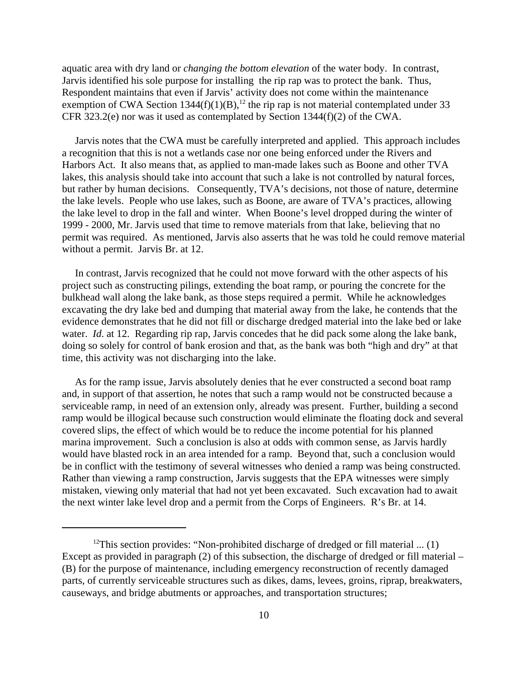aquatic area with dry land or *changing the bottom elevation* of the water body. In contrast, Jarvis identified his sole purpose for installing the rip rap was to protect the bank. Thus, Respondent maintains that even if Jarvis' activity does not come within the maintenance exemption of CWA Section  $1344(f)(1)(B)$ ,<sup>12</sup> the rip rap is not material contemplated under 33 CFR 323.2(e) nor was it used as contemplated by Section 1344(f)(2) of the CWA.

Jarvis notes that the CWA must be carefully interpreted and applied. This approach includes a recognition that this is not a wetlands case nor one being enforced under the Rivers and Harbors Act. It also means that, as applied to man-made lakes such as Boone and other TVA lakes, this analysis should take into account that such a lake is not controlled by natural forces, but rather by human decisions. Consequently, TVA's decisions, not those of nature, determine the lake levels. People who use lakes, such as Boone, are aware of TVA's practices, allowing the lake level to drop in the fall and winter. When Boone's level dropped during the winter of 1999 - 2000, Mr. Jarvis used that time to remove materials from that lake, believing that no permit was required. As mentioned, Jarvis also asserts that he was told he could remove material without a permit. Jarvis Br. at 12.

In contrast, Jarvis recognized that he could not move forward with the other aspects of his project such as constructing pilings, extending the boat ramp, or pouring the concrete for the bulkhead wall along the lake bank, as those steps required a permit. While he acknowledges excavating the dry lake bed and dumping that material away from the lake, he contends that the evidence demonstrates that he did not fill or discharge dredged material into the lake bed or lake water. *Id.* at 12. Regarding rip rap, Jarvis concedes that he did pack some along the lake bank, doing so solely for control of bank erosion and that, as the bank was both "high and dry" at that time, this activity was not discharging into the lake.

As for the ramp issue, Jarvis absolutely denies that he ever constructed a second boat ramp and, in support of that assertion, he notes that such a ramp would not be constructed because a serviceable ramp, in need of an extension only, already was present. Further, building a second ramp would be illogical because such construction would eliminate the floating dock and several covered slips, the effect of which would be to reduce the income potential for his planned marina improvement. Such a conclusion is also at odds with common sense, as Jarvis hardly would have blasted rock in an area intended for a ramp. Beyond that, such a conclusion would be in conflict with the testimony of several witnesses who denied a ramp was being constructed. Rather than viewing a ramp construction, Jarvis suggests that the EPA witnesses were simply mistaken, viewing only material that had not yet been excavated. Such excavation had to await the next winter lake level drop and a permit from the Corps of Engineers. R's Br. at 14.

<sup>&</sup>lt;sup>12</sup>This section provides: "Non-prohibited discharge of dredged or fill material ...  $(1)$ Except as provided in paragraph (2) of this subsection, the discharge of dredged or fill material – (B) for the purpose of maintenance, including emergency reconstruction of recently damaged parts, of currently serviceable structures such as dikes, dams, levees, groins, riprap, breakwaters, causeways, and bridge abutments or approaches, and transportation structures;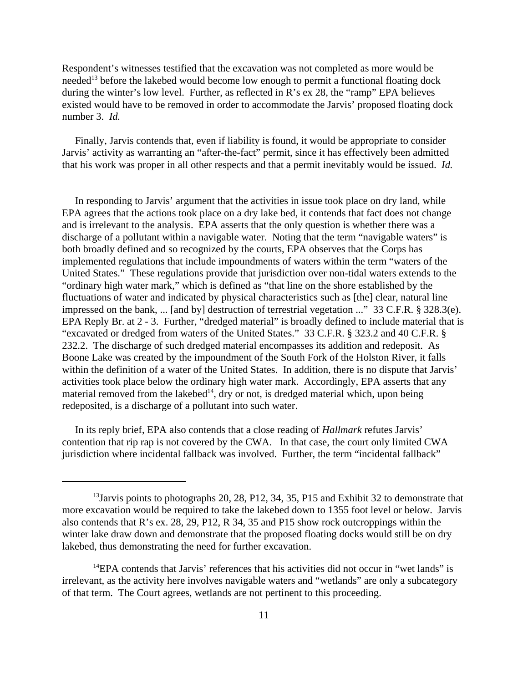Respondent's witnesses testified that the excavation was not completed as more would be needed<sup>13</sup> before the lakebed would become low enough to permit a functional floating dock during the winter's low level. Further, as reflected in R's ex 28, the "ramp" EPA believes existed would have to be removed in order to accommodate the Jarvis' proposed floating dock number 3. *Id.* 

Finally, Jarvis contends that, even if liability is found, it would be appropriate to consider Jarvis' activity as warranting an "after-the-fact" permit, since it has effectively been admitted that his work was proper in all other respects and that a permit inevitably would be issued. *Id.* 

In responding to Jarvis' argument that the activities in issue took place on dry land, while EPA agrees that the actions took place on a dry lake bed, it contends that fact does not change and is irrelevant to the analysis. EPA asserts that the only question is whether there was a discharge of a pollutant within a navigable water. Noting that the term "navigable waters" is both broadly defined and so recognized by the courts, EPA observes that the Corps has implemented regulations that include impoundments of waters within the term "waters of the United States." These regulations provide that jurisdiction over non-tidal waters extends to the "ordinary high water mark," which is defined as "that line on the shore established by the fluctuations of water and indicated by physical characteristics such as [the] clear, natural line impressed on the bank, ... [and by] destruction of terrestrial vegetation ..." 33 C.F.R. § 328.3(e). EPA Reply Br. at 2 - 3. Further, "dredged material" is broadly defined to include material that is "excavated or dredged from waters of the United States." 33 C.F.R. § 323.2 and 40 C.F.R. § 232.2. The discharge of such dredged material encompasses its addition and redeposit. As Boone Lake was created by the impoundment of the South Fork of the Holston River, it falls within the definition of a water of the United States. In addition, there is no dispute that Jarvis' activities took place below the ordinary high water mark. Accordingly, EPA asserts that any material removed from the lakebed<sup>14</sup>, dry or not, is dredged material which, upon being redeposited, is a discharge of a pollutant into such water.

In its reply brief, EPA also contends that a close reading of *Hallmark* refutes Jarvis' contention that rip rap is not covered by the CWA. In that case, the court only limited CWA jurisdiction where incidental fallback was involved. Further, the term "incidental fallback"

 $13$ Jarvis points to photographs 20, 28, P12, 34, 35, P15 and Exhibit 32 to demonstrate that more excavation would be required to take the lakebed down to 1355 foot level or below. Jarvis also contends that R's ex. 28, 29, P12, R 34, 35 and P15 show rock outcroppings within the winter lake draw down and demonstrate that the proposed floating docks would still be on dry lakebed, thus demonstrating the need for further excavation.

 $14EPA$  contends that Jarvis' references that his activities did not occur in "wet lands" is irrelevant, as the activity here involves navigable waters and "wetlands" are only a subcategory of that term. The Court agrees, wetlands are not pertinent to this proceeding.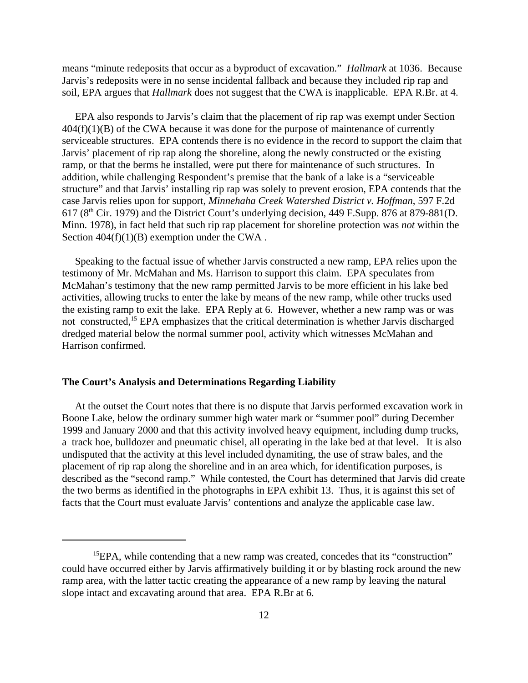means "minute redeposits that occur as a byproduct of excavation." *Hallmark* at 1036. Because Jarvis's redeposits were in no sense incidental fallback and because they included rip rap and soil, EPA argues that *Hallmark* does not suggest that the CWA is inapplicable. EPA R.Br. at 4.

EPA also responds to Jarvis's claim that the placement of rip rap was exempt under Section  $404(f)(1)(B)$  of the CWA because it was done for the purpose of maintenance of currently serviceable structures. EPA contends there is no evidence in the record to support the claim that Jarvis' placement of rip rap along the shoreline, along the newly constructed or the existing ramp, or that the berms he installed, were put there for maintenance of such structures. In addition, while challenging Respondent's premise that the bank of a lake is a "serviceable structure" and that Jarvis' installing rip rap was solely to prevent erosion, EPA contends that the case Jarvis relies upon for support, *Minnehaha Creek Watershed District v. Hoffman*, 597 F.2d 617 (8th Cir. 1979) and the District Court's underlying decision, 449 F.Supp. 876 at 879-881(D. Minn. 1978), in fact held that such rip rap placement for shoreline protection was *not* within the Section  $404(f)(1)(B)$  exemption under the CWA.

Speaking to the factual issue of whether Jarvis constructed a new ramp, EPA relies upon the testimony of Mr. McMahan and Ms. Harrison to support this claim. EPA speculates from McMahan's testimony that the new ramp permitted Jarvis to be more efficient in his lake bed activities, allowing trucks to enter the lake by means of the new ramp, while other trucks used the existing ramp to exit the lake. EPA Reply at 6. However, whether a new ramp was or was not constructed,15 EPA emphasizes that the critical determination is whether Jarvis discharged dredged material below the normal summer pool, activity which witnesses McMahan and Harrison confirmed.

### **The Court's Analysis and Determinations Regarding Liability**

At the outset the Court notes that there is no dispute that Jarvis performed excavation work in Boone Lake, below the ordinary summer high water mark or "summer pool" during December 1999 and January 2000 and that this activity involved heavy equipment, including dump trucks, a track hoe, bulldozer and pneumatic chisel, all operating in the lake bed at that level. It is also undisputed that the activity at this level included dynamiting, the use of straw bales, and the placement of rip rap along the shoreline and in an area which, for identification purposes, is described as the "second ramp." While contested, the Court has determined that Jarvis did create the two berms as identified in the photographs in EPA exhibit 13. Thus, it is against this set of facts that the Court must evaluate Jarvis' contentions and analyze the applicable case law.

<sup>&</sup>lt;sup>15</sup>EPA, while contending that a new ramp was created, concedes that its "construction" could have occurred either by Jarvis affirmatively building it or by blasting rock around the new ramp area, with the latter tactic creating the appearance of a new ramp by leaving the natural slope intact and excavating around that area. EPA R.Br at 6.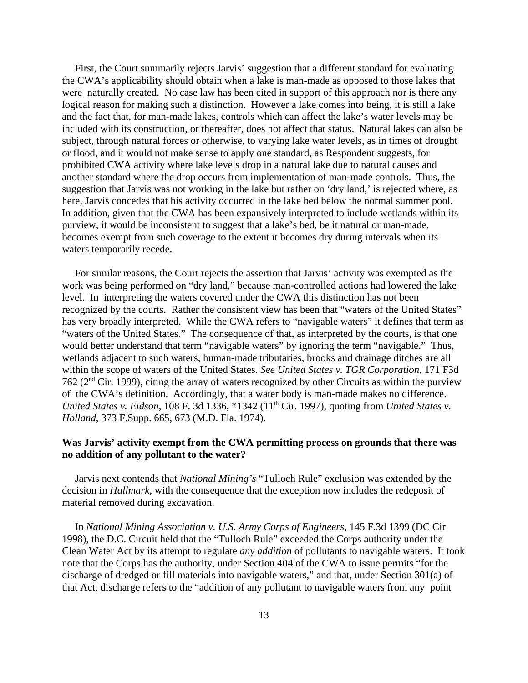First, the Court summarily rejects Jarvis' suggestion that a different standard for evaluating the CWA's applicability should obtain when a lake is man-made as opposed to those lakes that were naturally created. No case law has been cited in support of this approach nor is there any logical reason for making such a distinction. However a lake comes into being, it is still a lake and the fact that, for man-made lakes, controls which can affect the lake's water levels may be included with its construction, or thereafter, does not affect that status. Natural lakes can also be subject, through natural forces or otherwise, to varying lake water levels, as in times of drought or flood, and it would not make sense to apply one standard, as Respondent suggests, for prohibited CWA activity where lake levels drop in a natural lake due to natural causes and another standard where the drop occurs from implementation of man-made controls. Thus, the suggestion that Jarvis was not working in the lake but rather on 'dry land,' is rejected where, as here, Jarvis concedes that his activity occurred in the lake bed below the normal summer pool. In addition, given that the CWA has been expansively interpreted to include wetlands within its purview, it would be inconsistent to suggest that a lake's bed, be it natural or man-made, becomes exempt from such coverage to the extent it becomes dry during intervals when its waters temporarily recede.

For similar reasons, the Court rejects the assertion that Jarvis' activity was exempted as the work was being performed on "dry land," because man-controlled actions had lowered the lake level. In interpreting the waters covered under the CWA this distinction has not been recognized by the courts. Rather the consistent view has been that "waters of the United States" has very broadly interpreted. While the CWA refers to "navigable waters" it defines that term as "waters of the United States." The consequence of that, as interpreted by the courts, is that one would better understand that term "navigable waters" by ignoring the term "navigable." Thus, wetlands adjacent to such waters, human-made tributaries, brooks and drainage ditches are all within the scope of waters of the United States. *See United States v. TGR Corporation*, 171 F3d 762 (2nd Cir. 1999), citing the array of waters recognized by other Circuits as within the purview of the CWA's definition. Accordingly, that a water body is man-made makes no difference. *United States v. Eidson,* 108 F. 3d 1336, \*1342 (11<sup>th</sup> Cir. 1997), quoting from *United States v. Holland*, 373 F.Supp. 665, 673 (M.D. Fla. 1974).

## **Was Jarvis' activity exempt from the CWA permitting process on grounds that there was no addition of any pollutant to the water?**

Jarvis next contends that *National Mining's* "Tulloch Rule" exclusion was extended by the decision in *Hallmark,* with the consequence that the exception now includes the redeposit of material removed during excavation.

In *National Mining Association v. U.S. Army Corps of Engineers*, 145 F.3d 1399 (DC Cir 1998), the D.C. Circuit held that the "Tulloch Rule" exceeded the Corps authority under the Clean Water Act by its attempt to regulate *any addition* of pollutants to navigable waters. It took note that the Corps has the authority, under Section 404 of the CWA to issue permits "for the discharge of dredged or fill materials into navigable waters," and that, under Section 301(a) of that Act, discharge refers to the "addition of any pollutant to navigable waters from any point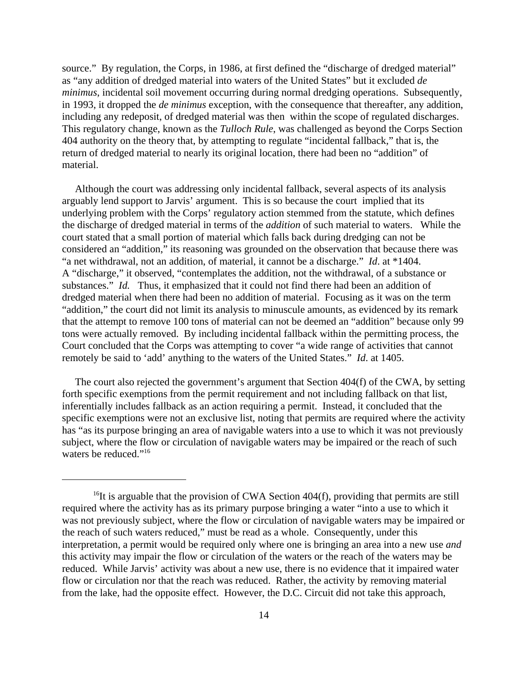source." By regulation, the Corps, in 1986, at first defined the "discharge of dredged material" as "any addition of dredged material into waters of the United States" but it excluded *de minimus*, incidental soil movement occurring during normal dredging operations. Subsequently, in 1993, it dropped the *de minimus* exception, with the consequence that thereafter, any addition, including any redeposit, of dredged material was then within the scope of regulated discharges. This regulatory change, known as the *Tulloch Rule*, was challenged as beyond the Corps Section 404 authority on the theory that, by attempting to regulate "incidental fallback," that is, the return of dredged material to nearly its original location, there had been no "addition" of material.

Although the court was addressing only incidental fallback, several aspects of its analysis arguably lend support to Jarvis' argument. This is so because the court implied that its underlying problem with the Corps' regulatory action stemmed from the statute, which defines the discharge of dredged material in terms of the *addition* of such material to waters. While the court stated that a small portion of material which falls back during dredging can not be considered an "addition," its reasoning was grounded on the observation that because there was "a net withdrawal, not an addition, of material, it cannot be a discharge." *Id*. at \*1404. A "discharge," it observed, "contemplates the addition, not the withdrawal, of a substance or substances." *Id.* Thus, it emphasized that it could not find there had been an addition of dredged material when there had been no addition of material. Focusing as it was on the term "addition," the court did not limit its analysis to minuscule amounts, as evidenced by its remark that the attempt to remove 100 tons of material can not be deemed an "addition" because only 99 tons were actually removed. By including incidental fallback within the permitting process, the Court concluded that the Corps was attempting to cover "a wide range of activities that cannot remotely be said to 'add' anything to the waters of the United States." *Id*. at 1405.

The court also rejected the government's argument that Section 404(f) of the CWA, by setting forth specific exemptions from the permit requirement and not including fallback on that list, inferentially includes fallback as an action requiring a permit. Instead, it concluded that the specific exemptions were not an exclusive list, noting that permits are required where the activity has "as its purpose bringing an area of navigable waters into a use to which it was not previously subject, where the flow or circulation of navigable waters may be impaired or the reach of such waters be reduced."<sup>16</sup>

 $16$ It is arguable that the provision of CWA Section 404(f), providing that permits are still required where the activity has as its primary purpose bringing a water "into a use to which it was not previously subject, where the flow or circulation of navigable waters may be impaired or the reach of such waters reduced," must be read as a whole. Consequently, under this interpretation, a permit would be required only where one is bringing an area into a new use *and*  this activity may impair the flow or circulation of the waters or the reach of the waters may be reduced. While Jarvis' activity was about a new use, there is no evidence that it impaired water flow or circulation nor that the reach was reduced. Rather, the activity by removing material from the lake, had the opposite effect. However, the D.C. Circuit did not take this approach,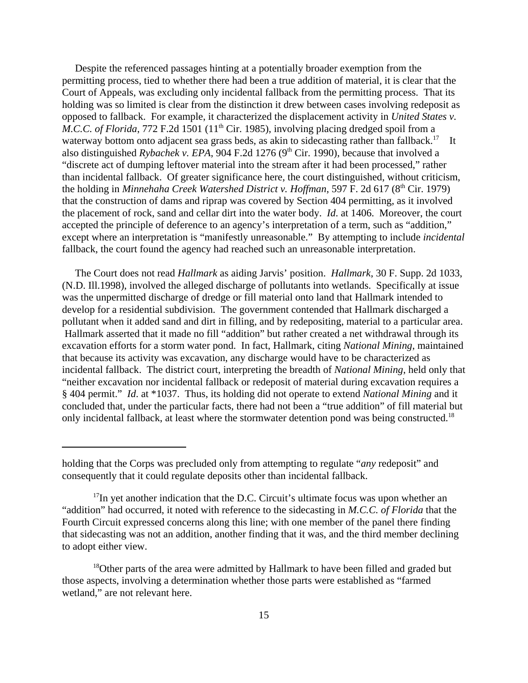Despite the referenced passages hinting at a potentially broader exemption from the permitting process, tied to whether there had been a true addition of material, it is clear that the Court of Appeals, was excluding only incidental fallback from the permitting process. That its holding was so limited is clear from the distinction it drew between cases involving redeposit as opposed to fallback. For example, it characterized the displacement activity in *United States v. M.C.C. of Florida*, 772 F.2d 1501 (11<sup>th</sup> Cir. 1985), involving placing dredged spoil from a waterway bottom onto adjacent sea grass beds, as akin to sidecasting rather than fallback.<sup>17</sup> It also distinguished *Rybachek v. EPA*, 904 F.2d 1276 (9<sup>th</sup> Cir. 1990), because that involved a "discrete act of dumping leftover material into the stream after it had been processed," rather than incidental fallback. Of greater significance here, the court distinguished, without criticism, the holding in *Minnehaha Creek Watershed District v. Hoffman*, 597 F. 2d 617 (8<sup>th</sup> Cir. 1979) that the construction of dams and riprap was covered by Section 404 permitting, as it involved the placement of rock, sand and cellar dirt into the water body. *Id*. at 1406. Moreover, the court accepted the principle of deference to an agency's interpretation of a term, such as "addition," except where an interpretation is "manifestly unreasonable." By attempting to include *incidental*  fallback, the court found the agency had reached such an unreasonable interpretation.

The Court does not read *Hallmark* as aiding Jarvis' position. *Hallmark*, 30 F. Supp. 2d 1033, (N.D. Ill.1998), involved the alleged discharge of pollutants into wetlands. Specifically at issue was the unpermitted discharge of dredge or fill material onto land that Hallmark intended to develop for a residential subdivision. The government contended that Hallmark discharged a pollutant when it added sand and dirt in filling, and by redepositing, material to a particular area. Hallmark asserted that it made no fill "addition" but rather created a net withdrawal through its excavation efforts for a storm water pond. In fact, Hallmark, citing *National Mining*, maintained that because its activity was excavation, any discharge would have to be characterized as incidental fallback. The district court, interpreting the breadth of *National Mining*, held only that "neither excavation nor incidental fallback or redeposit of material during excavation requires a § 404 permit." *Id*. at \*1037. Thus, its holding did not operate to extend *National Mining* and it concluded that, under the particular facts, there had not been a "true addition" of fill material but only incidental fallback, at least where the stormwater detention pond was being constructed.<sup>18</sup>

holding that the Corps was precluded only from attempting to regulate "*any* redeposit" and consequently that it could regulate deposits other than incidental fallback.

 $17$ In yet another indication that the D.C. Circuit's ultimate focus was upon whether an "addition" had occurred, it noted with reference to the sidecasting in *M.C.C. of Florida* that the Fourth Circuit expressed concerns along this line; with one member of the panel there finding that sidecasting was not an addition, another finding that it was, and the third member declining to adopt either view.

<sup>&</sup>lt;sup>18</sup>Other parts of the area were admitted by Hallmark to have been filled and graded but those aspects, involving a determination whether those parts were established as "farmed wetland," are not relevant here.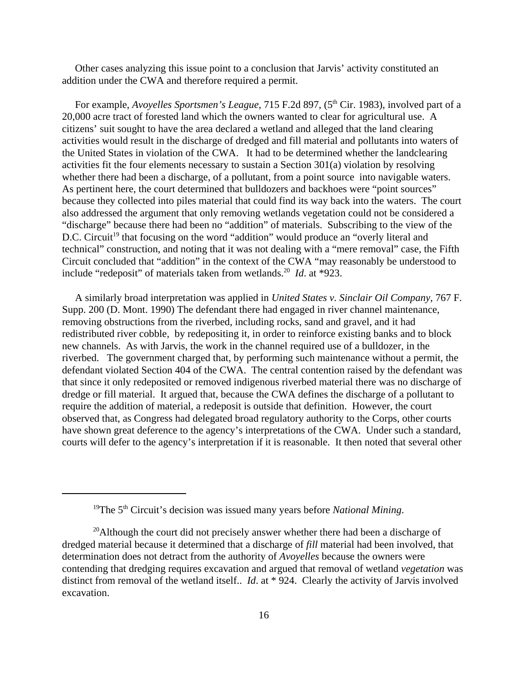Other cases analyzing this issue point to a conclusion that Jarvis' activity constituted an addition under the CWA and therefore required a permit.

For example, *Avoyelles Sportsmen's League*, 715 F.2d 897, (5<sup>th</sup> Cir. 1983), involved part of a 20,000 acre tract of forested land which the owners wanted to clear for agricultural use. A citizens' suit sought to have the area declared a wetland and alleged that the land clearing activities would result in the discharge of dredged and fill material and pollutants into waters of the United States in violation of the CWA. It had to be determined whether the landclearing activities fit the four elements necessary to sustain a Section 301(a) violation by resolving whether there had been a discharge, of a pollutant, from a point source into navigable waters. As pertinent here, the court determined that bulldozers and backhoes were "point sources" because they collected into piles material that could find its way back into the waters. The court also addressed the argument that only removing wetlands vegetation could not be considered a "discharge" because there had been no "addition" of materials. Subscribing to the view of the D.C. Circuit<sup>19</sup> that focusing on the word "addition" would produce an "overly literal and technical" construction, and noting that it was not dealing with a "mere removal" case, the Fifth Circuit concluded that "addition" in the context of the CWA "may reasonably be understood to include "redeposit" of materials taken from wetlands.<sup>20</sup> *Id.* at \*923.

A similarly broad interpretation was applied in *United States v. Sinclair Oil Company*, 767 F. Supp. 200 (D. Mont. 1990) The defendant there had engaged in river channel maintenance, removing obstructions from the riverbed, including rocks, sand and gravel, and it had redistributed river cobble, by redepositing it, in order to reinforce existing banks and to block new channels. As with Jarvis, the work in the channel required use of a bulldozer, in the riverbed. The government charged that, by performing such maintenance without a permit, the defendant violated Section 404 of the CWA. The central contention raised by the defendant was that since it only redeposited or removed indigenous riverbed material there was no discharge of dredge or fill material. It argued that, because the CWA defines the discharge of a pollutant to require the addition of material, a redeposit is outside that definition. However, the court observed that, as Congress had delegated broad regulatory authority to the Corps, other courts have shown great deference to the agency's interpretations of the CWA. Under such a standard, courts will defer to the agency's interpretation if it is reasonable. It then noted that several other

<sup>19</sup>The 5th Circuit's decision was issued many years before *National Mining*.

 $20$ Although the court did not precisely answer whether there had been a discharge of dredged material because it determined that a discharge of *fill* material had been involved, that determination does not detract from the authority of *Avoyelles* because the owners were contending that dredging requires excavation and argued that removal of wetland *vegetation* was distinct from removal of the wetland itself.. *Id*. at \* 924. Clearly the activity of Jarvis involved excavation.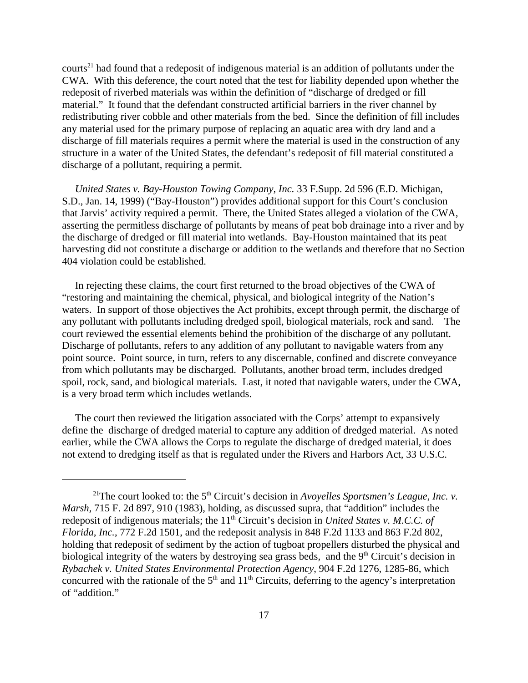courts<sup>21</sup> had found that a redeposit of indigenous material is an addition of pollutants under the CWA. With this deference, the court noted that the test for liability depended upon whether the redeposit of riverbed materials was within the definition of "discharge of dredged or fill material." It found that the defendant constructed artificial barriers in the river channel by redistributing river cobble and other materials from the bed. Since the definition of fill includes any material used for the primary purpose of replacing an aquatic area with dry land and a discharge of fill materials requires a permit where the material is used in the construction of any structure in a water of the United States, the defendant's redeposit of fill material constituted a discharge of a pollutant, requiring a permit.

*United States v. Bay-Houston Towing Company, Inc.* 33 F.Supp. 2d 596 (E.D. Michigan, S.D., Jan. 14, 1999) ("Bay-Houston") provides additional support for this Court's conclusion that Jarvis' activity required a permit. There, the United States alleged a violation of the CWA, asserting the permitless discharge of pollutants by means of peat bob drainage into a river and by the discharge of dredged or fill material into wetlands. Bay-Houston maintained that its peat harvesting did not constitute a discharge or addition to the wetlands and therefore that no Section 404 violation could be established.

In rejecting these claims, the court first returned to the broad objectives of the CWA of "restoring and maintaining the chemical, physical, and biological integrity of the Nation's waters. In support of those objectives the Act prohibits, except through permit, the discharge of any pollutant with pollutants including dredged spoil, biological materials, rock and sand. The court reviewed the essential elements behind the prohibition of the discharge of any pollutant. Discharge of pollutants, refers to any addition of any pollutant to navigable waters from any point source. Point source, in turn, refers to any discernable, confined and discrete conveyance from which pollutants may be discharged. Pollutants, another broad term, includes dredged spoil, rock, sand, and biological materials. Last, it noted that navigable waters, under the CWA, is a very broad term which includes wetlands.

The court then reviewed the litigation associated with the Corps' attempt to expansively define the discharge of dredged material to capture any addition of dredged material. As noted earlier, while the CWA allows the Corps to regulate the discharge of dredged material, it does not extend to dredging itself as that is regulated under the Rivers and Harbors Act, 33 U.S.C.

<sup>&</sup>lt;sup>21</sup>The court looked to: the  $5<sup>th</sup>$  Circuit's decision in *Avoyelles Sportsmen's League, Inc. v. Marsh,* 715 F. 2d 897, 910 (1983), holding, as discussed supra, that "addition" includes the redeposit of indigenous materials; the 11<sup>th</sup> Circuit's decision in *United States v. M.C.C. of Florida, Inc.*, 772 F.2d 1501, and the redeposit analysis in 848 F.2d 1133 and 863 F.2d 802, holding that redeposit of sediment by the action of tugboat propellers disturbed the physical and biological integrity of the waters by destroying sea grass beds, and the  $9<sup>th</sup>$  Circuit's decision in *Rybachek v. United States Environmental Protection Agency*, 904 F.2d 1276, 1285-86, which concurred with the rationale of the  $5<sup>th</sup>$  and  $11<sup>th</sup>$  Circuits, deferring to the agency's interpretation of "addition."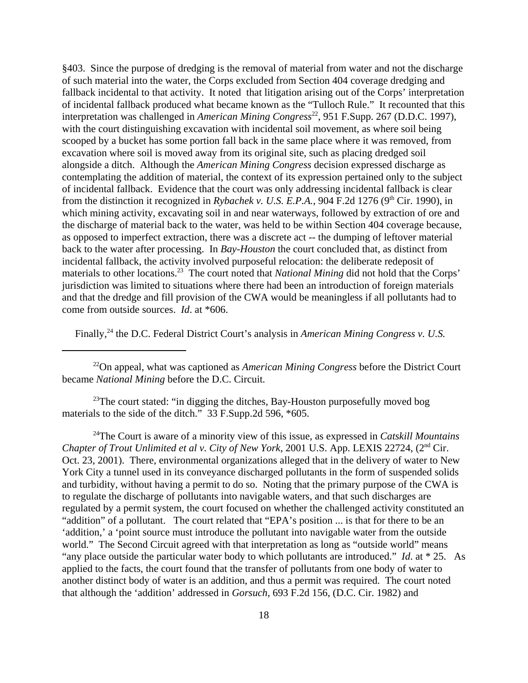§403. Since the purpose of dredging is the removal of material from water and not the discharge of such material into the water, the Corps excluded from Section 404 coverage dredging and fallback incidental to that activity. It noted that litigation arising out of the Corps' interpretation of incidental fallback produced what became known as the "Tulloch Rule." It recounted that this interpretation was challenged in *American Mining Congress*<sup>22</sup>, 951 F.Supp. 267 (D.D.C. 1997), with the court distinguishing excavation with incidental soil movement, as where soil being scooped by a bucket has some portion fall back in the same place where it was removed, from excavation where soil is moved away from its original site, such as placing dredged soil alongside a ditch. Although the *American Mining Congress* decision expressed discharge as contemplating the addition of material, the context of its expression pertained only to the subject of incidental fallback. Evidence that the court was only addressing incidental fallback is clear from the distinction it recognized in *Rybachek v. U.S. E.P.A.*, 904 F.2d 1276 (9<sup>th</sup> Cir. 1990), in which mining activity, excavating soil in and near waterways, followed by extraction of ore and the discharge of material back to the water, was held to be within Section 404 coverage because, as opposed to imperfect extraction, there was a discrete act -- the dumping of leftover material back to the water after processing. In *Bay-Houston* the court concluded that, as distinct from incidental fallback, the activity involved purposeful relocation: the deliberate redeposit of materials to other locations.23 The court noted that *National Mining* did not hold that the Corps' jurisdiction was limited to situations where there had been an introduction of foreign materials and that the dredge and fill provision of the CWA would be meaningless if all pollutants had to come from outside sources. *Id*. at \*606.

Finally,<sup>24</sup> the D.C. Federal District Court's analysis in *American Mining Congress v. U.S.* 

22On appeal, what was captioned as *American Mining Congress* before the District Court became *National Mining* before the D.C. Circuit*.* 

<sup>23</sup>The court stated: "in digging the ditches, Bay-Houston purposefully moved bog materials to the side of the ditch." 33 F.Supp.2d 596, \*605.

24The Court is aware of a minority view of this issue, as expressed in *Catskill Mountains Chapter of Trout Unlimited et al v. City of New York, 2001 U.S. App. LEXIS 22724, (2<sup>nd</sup> Cir.* Oct. 23, 2001). There, environmental organizations alleged that in the delivery of water to New York City a tunnel used in its conveyance discharged pollutants in the form of suspended solids and turbidity, without having a permit to do so. Noting that the primary purpose of the CWA is to regulate the discharge of pollutants into navigable waters, and that such discharges are regulated by a permit system, the court focused on whether the challenged activity constituted an "addition" of a pollutant. The court related that "EPA's position ... is that for there to be an 'addition,' a 'point source must introduce the pollutant into navigable water from the outside world." The Second Circuit agreed with that interpretation as long as "outside world" means "any place outside the particular water body to which pollutants are introduced." *Id*. at \* 25. As applied to the facts, the court found that the transfer of pollutants from one body of water to another distinct body of water is an addition, and thus a permit was required. The court noted that although the 'addition' addressed in *Gorsuch,* 693 F.2d 156, (D.C. Cir. 1982) and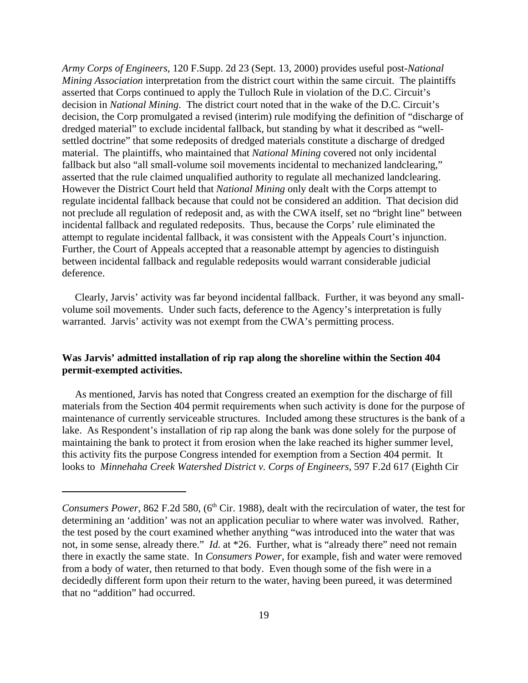*Army Corps of Engineers*, 120 F.Supp. 2d 23 (Sept. 13, 2000) provides useful post-*National Mining Association* interpretation from the district court within the same circuit. The plaintiffs asserted that Corps continued to apply the Tulloch Rule in violation of the D.C. Circuit's decision in *National Mining*. The district court noted that in the wake of the D.C. Circuit's decision, the Corp promulgated a revised (interim) rule modifying the definition of "discharge of dredged material" to exclude incidental fallback, but standing by what it described as "wellsettled doctrine" that some redeposits of dredged materials constitute a discharge of dredged material. The plaintiffs, who maintained that *National Mining* covered not only incidental fallback but also "all small-volume soil movements incidental to mechanized landclearing," asserted that the rule claimed unqualified authority to regulate all mechanized landclearing. However the District Court held that *National Mining* only dealt with the Corps attempt to regulate incidental fallback because that could not be considered an addition. That decision did not preclude all regulation of redeposit and, as with the CWA itself, set no "bright line" between incidental fallback and regulated redeposits. Thus, because the Corps' rule eliminated the attempt to regulate incidental fallback, it was consistent with the Appeals Court's injunction. Further, the Court of Appeals accepted that a reasonable attempt by agencies to distinguish between incidental fallback and regulable redeposits would warrant considerable judicial deference.

Clearly, Jarvis' activity was far beyond incidental fallback. Further, it was beyond any smallvolume soil movements. Under such facts, deference to the Agency's interpretation is fully warranted. Jarvis' activity was not exempt from the CWA's permitting process.

# **Was Jarvis' admitted installation of rip rap along the shoreline within the Section 404 permit-exempted activities.**

As mentioned, Jarvis has noted that Congress created an exemption for the discharge of fill materials from the Section 404 permit requirements when such activity is done for the purpose of maintenance of currently serviceable structures. Included among these structures is the bank of a lake. As Respondent's installation of rip rap along the bank was done solely for the purpose of maintaining the bank to protect it from erosion when the lake reached its higher summer level, this activity fits the purpose Congress intended for exemption from a Section 404 permit. It looks to *Minnehaha Creek Watershed District v. Corps of Engineers*, 597 F.2d 617 (Eighth Cir

*Consumers Power,* 862 F.2d 580, (6<sup>th</sup> Cir. 1988), dealt with the recirculation of water, the test for determining an 'addition' was not an application peculiar to where water was involved. Rather, the test posed by the court examined whether anything "was introduced into the water that was not, in some sense, already there." *Id*. at \*26. Further, what is "already there" need not remain there in exactly the same state. In *Consumers Power*, for example, fish and water were removed from a body of water, then returned to that body. Even though some of the fish were in a decidedly different form upon their return to the water, having been pureed, it was determined that no "addition" had occurred.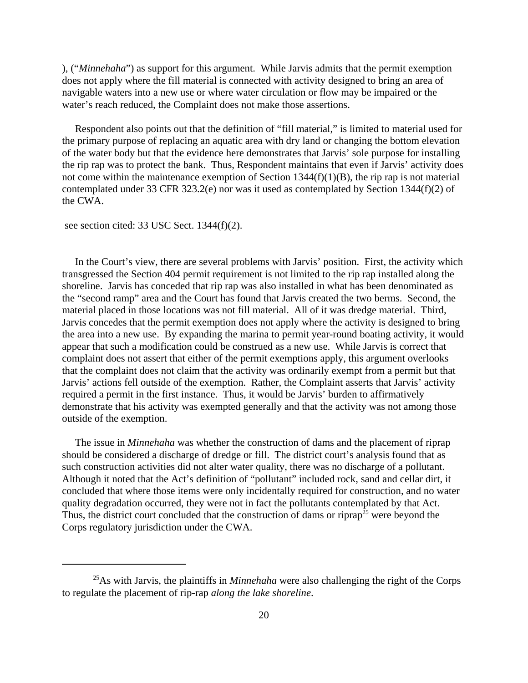), ("*Minnehaha*") as support for this argument. While Jarvis admits that the permit exemption does not apply where the fill material is connected with activity designed to bring an area of navigable waters into a new use or where water circulation or flow may be impaired or the water's reach reduced, the Complaint does not make those assertions.

Respondent also points out that the definition of "fill material," is limited to material used for the primary purpose of replacing an aquatic area with dry land or changing the bottom elevation of the water body but that the evidence here demonstrates that Jarvis' sole purpose for installing the rip rap was to protect the bank. Thus, Respondent maintains that even if Jarvis' activity does not come within the maintenance exemption of Section  $1344(f)(1)(B)$ , the rip rap is not material contemplated under 33 CFR 323.2(e) nor was it used as contemplated by Section 1344(f)(2) of the CWA.

see section cited: 33 USC Sect. 1344(f)(2).

In the Court's view, there are several problems with Jarvis' position. First, the activity which transgressed the Section 404 permit requirement is not limited to the rip rap installed along the shoreline. Jarvis has conceded that rip rap was also installed in what has been denominated as the "second ramp" area and the Court has found that Jarvis created the two berms. Second, the material placed in those locations was not fill material. All of it was dredge material. Third, Jarvis concedes that the permit exemption does not apply where the activity is designed to bring the area into a new use. By expanding the marina to permit year-round boating activity, it would appear that such a modification could be construed as a new use. While Jarvis is correct that complaint does not assert that either of the permit exemptions apply, this argument overlooks that the complaint does not claim that the activity was ordinarily exempt from a permit but that Jarvis' actions fell outside of the exemption. Rather, the Complaint asserts that Jarvis' activity required a permit in the first instance. Thus, it would be Jarvis' burden to affirmatively demonstrate that his activity was exempted generally and that the activity was not among those outside of the exemption.

The issue in *Minnehaha* was whether the construction of dams and the placement of riprap should be considered a discharge of dredge or fill. The district court's analysis found that as such construction activities did not alter water quality, there was no discharge of a pollutant. Although it noted that the Act's definition of "pollutant" included rock, sand and cellar dirt, it concluded that where those items were only incidentally required for construction, and no water quality degradation occurred, they were not in fact the pollutants contemplated by that Act. Thus, the district court concluded that the construction of dams or riprap<sup>25</sup> were beyond the Corps regulatory jurisdiction under the CWA.

<sup>&</sup>lt;sup>25</sup>As with Jarvis, the plaintiffs in *Minnehaha* were also challenging the right of the Corps to regulate the placement of rip-rap *along the lake shoreline*.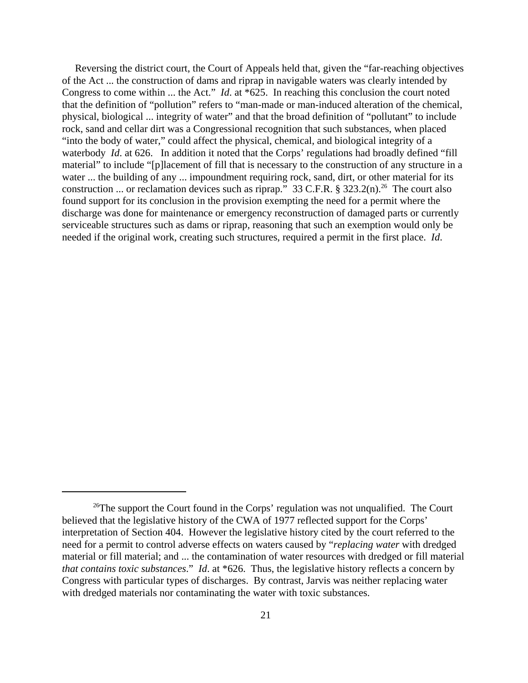Reversing the district court, the Court of Appeals held that, given the "far-reaching objectives of the Act ... the construction of dams and riprap in navigable waters was clearly intended by Congress to come within ... the Act." *Id*. at \*625. In reaching this conclusion the court noted that the definition of "pollution" refers to "man-made or man-induced alteration of the chemical, physical, biological ... integrity of water" and that the broad definition of "pollutant" to include rock, sand and cellar dirt was a Congressional recognition that such substances, when placed "into the body of water," could affect the physical, chemical, and biological integrity of a waterbody *Id.* at 626. In addition it noted that the Corps' regulations had broadly defined "fill" material" to include "[p]lacement of fill that is necessary to the construction of any structure in a water ... the building of any ... impoundment requiring rock, sand, dirt, or other material for its construction ... or reclamation devices such as riprap." 33 C.F.R. § 323.2(n).<sup>26</sup> The court also found support for its conclusion in the provision exempting the need for a permit where the discharge was done for maintenance or emergency reconstruction of damaged parts or currently serviceable structures such as dams or riprap, reasoning that such an exemption would only be needed if the original work, creating such structures, required a permit in the first place. *Id*.

<sup>&</sup>lt;sup>26</sup>The support the Court found in the Corps' regulation was not unqualified. The Court believed that the legislative history of the CWA of 1977 reflected support for the Corps' interpretation of Section 404. However the legislative history cited by the court referred to the need for a permit to control adverse effects on waters caused by "*replacing water* with dredged material or fill material; and ... the contamination of water resources with dredged or fill material *that contains toxic substances*." *Id*. at \*626. Thus, the legislative history reflects a concern by Congress with particular types of discharges. By contrast, Jarvis was neither replacing water with dredged materials nor contaminating the water with toxic substances.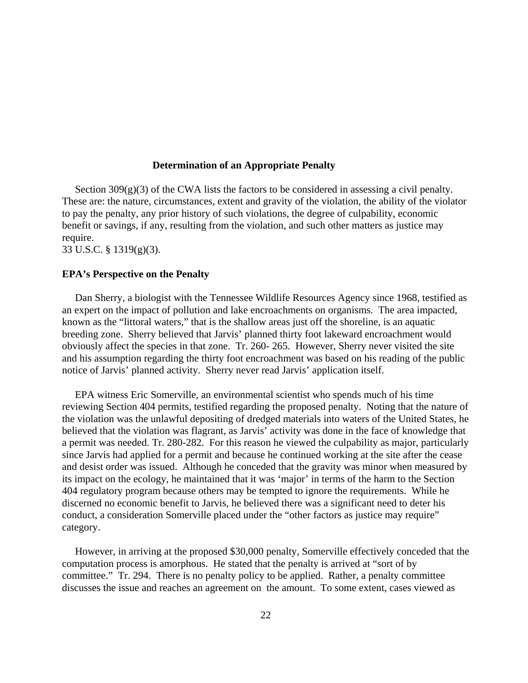### **Determination of an Appropriate Penalty**

Section  $309(g)(3)$  of the CWA lists the factors to be considered in assessing a civil penalty. These are: the nature, circumstances, extent and gravity of the violation, the ability of the violator to pay the penalty, any prior history of such violations, the degree of culpability, economic benefit or savings, if any, resulting from the violation, and such other matters as justice may require.

33 U.S.C. § 1319(g)(3).

#### **EPA's Perspective on the Penalty**

Dan Sherry, a biologist with the Tennessee Wildlife Resources Agency since 1968, testified as an expert on the impact of pollution and lake encroachments on organisms. The area impacted, known as the "littoral waters," that is the shallow areas just off the shoreline, is an aquatic breeding zone. Sherry believed that Jarvis' planned thirty foot lakeward encroachment would obviously affect the species in that zone. Tr. 260- 265. However, Sherry never visited the site and his assumption regarding the thirty foot encroachment was based on his reading of the public notice of Jarvis' planned activity. Sherry never read Jarvis' application itself.

EPA witness Eric Somerville, an environmental scientist who spends much of his time reviewing Section 404 permits, testified regarding the proposed penalty. Noting that the nature of the violation was the unlawful depositing of dredged materials into waters of the United States, he believed that the violation was flagrant, as Jarvis' activity was done in the face of knowledge that a permit was needed. Tr. 280-282. For this reason he viewed the culpability as major, particularly since Jarvis had applied for a permit and because he continued working at the site after the cease and desist order was issued. Although he conceded that the gravity was minor when measured by its impact on the ecology, he maintained that it was 'major' in terms of the harm to the Section 404 regulatory program because others may be tempted to ignore the requirements. While he discerned no economic benefit to Jarvis, he believed there was a significant need to deter his conduct, a consideration Somerville placed under the "other factors as justice may require" category.

However, in arriving at the proposed \$30,000 penalty, Somerville effectively conceded that the computation process is amorphous. He stated that the penalty is arrived at "sort of by committee." Tr. 294. There is no penalty policy to be applied. Rather, a penalty committee discusses the issue and reaches an agreement on the amount. To some extent, cases viewed as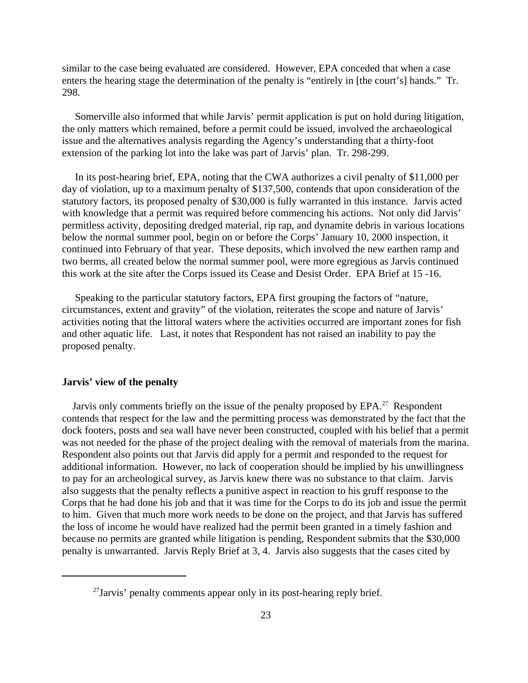similar to the case being evaluated are considered. However, EPA conceded that when a case enters the hearing stage the determination of the penalty is "entirely in [the court's] hands." Tr. 298.

Somerville also informed that while Jarvis' permit application is put on hold during litigation, the only matters which remained, before a permit could be issued, involved the archaeological issue and the alternatives analysis regarding the Agency's understanding that a thirty-foot extension of the parking lot into the lake was part of Jarvis' plan. Tr. 298-299.

In its post-hearing brief, EPA, noting that the CWA authorizes a civil penalty of \$11,000 per day of violation, up to a maximum penalty of \$137,500, contends that upon consideration of the statutory factors, its proposed penalty of \$30,000 is fully warranted in this instance. Jarvis acted with knowledge that a permit was required before commencing his actions. Not only did Jarvis' permitless activity, depositing dredged material, rip rap, and dynamite debris in various locations below the normal summer pool, begin on or before the Corps' January 10, 2000 inspection, it continued into February of that year. These deposits, which involved the new earthen ramp and two berms, all created below the normal summer pool, were more egregious as Jarvis continued this work at the site after the Corps issued its Cease and Desist Order. EPA Brief at 15 -16.

Speaking to the particular statutory factors, EPA first grouping the factors of "nature, circumstances, extent and gravity" of the violation, reiterates the scope and nature of Jarvis' activities noting that the littoral waters where the activities occurred are important zones for fish and other aquatic life. Last, it notes that Respondent has not raised an inability to pay the proposed penalty.

### **Jarvis' view of the penalty**

Jarvis only comments briefly on the issue of the penalty proposed by EPA.<sup>27</sup> Respondent contends that respect for the law and the permitting process was demonstrated by the fact that the dock footers, posts and sea wall have never been constructed, coupled with his belief that a permit was not needed for the phase of the project dealing with the removal of materials from the marina. Respondent also points out that Jarvis did apply for a permit and responded to the request for additional information. However, no lack of cooperation should be implied by his unwillingness to pay for an archeological survey, as Jarvis knew there was no substance to that claim. Jarvis also suggests that the penalty reflects a punitive aspect in reaction to his gruff response to the Corps that he had done his job and that it was time for the Corps to do its job and issue the permit to him. Given that much more work needs to be done on the project, and that Jarvis has suffered the loss of income he would have realized had the permit been granted in a timely fashion and because no permits are granted while litigation is pending, Respondent submits that the \$30,000 penalty is unwarranted. Jarvis Reply Brief at 3, 4. Jarvis also suggests that the cases cited by

 $27$ Jarvis' penalty comments appear only in its post-hearing reply brief.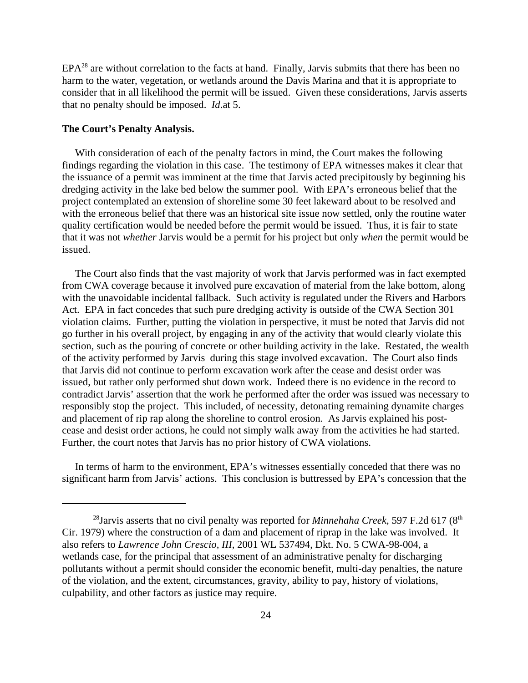$EPA<sup>28</sup>$  are without correlation to the facts at hand. Finally, Jarvis submits that there has been no harm to the water, vegetation, or wetlands around the Davis Marina and that it is appropriate to consider that in all likelihood the permit will be issued. Given these considerations, Jarvis asserts that no penalty should be imposed. *Id*.at 5.

### **The Court's Penalty Analysis.**

With consideration of each of the penalty factors in mind, the Court makes the following findings regarding the violation in this case. The testimony of EPA witnesses makes it clear that the issuance of a permit was imminent at the time that Jarvis acted precipitously by beginning his dredging activity in the lake bed below the summer pool. With EPA's erroneous belief that the project contemplated an extension of shoreline some 30 feet lakeward about to be resolved and with the erroneous belief that there was an historical site issue now settled, only the routine water quality certification would be needed before the permit would be issued. Thus, it is fair to state that it was not *whether* Jarvis would be a permit for his project but only *when* the permit would be issued.

The Court also finds that the vast majority of work that Jarvis performed was in fact exempted from CWA coverage because it involved pure excavation of material from the lake bottom, along with the unavoidable incidental fallback. Such activity is regulated under the Rivers and Harbors Act. EPA in fact concedes that such pure dredging activity is outside of the CWA Section 301 violation claims. Further, putting the violation in perspective, it must be noted that Jarvis did not go further in his overall project, by engaging in any of the activity that would clearly violate this section, such as the pouring of concrete or other building activity in the lake. Restated, the wealth of the activity performed by Jarvis during this stage involved excavation. The Court also finds that Jarvis did not continue to perform excavation work after the cease and desist order was issued, but rather only performed shut down work. Indeed there is no evidence in the record to contradict Jarvis' assertion that the work he performed after the order was issued was necessary to responsibly stop the project. This included, of necessity, detonating remaining dynamite charges and placement of rip rap along the shoreline to control erosion. As Jarvis explained his postcease and desist order actions, he could not simply walk away from the activities he had started. Further, the court notes that Jarvis has no prior history of CWA violations.

In terms of harm to the environment, EPA's witnesses essentially conceded that there was no significant harm from Jarvis' actions. This conclusion is buttressed by EPA's concession that the

<sup>&</sup>lt;sup>28</sup>Jarvis asserts that no civil penalty was reported for *Minnehaha Creek*, 597 F.2d 617 ( $8<sup>th</sup>$ Cir. 1979) where the construction of a dam and placement of riprap in the lake was involved. It also refers to *Lawrence John Crescio, III*, 2001 WL 537494, Dkt. No. 5 CWA-98-004, a wetlands case, for the principal that assessment of an administrative penalty for discharging pollutants without a permit should consider the economic benefit, multi-day penalties, the nature of the violation, and the extent, circumstances, gravity, ability to pay, history of violations, culpability, and other factors as justice may require.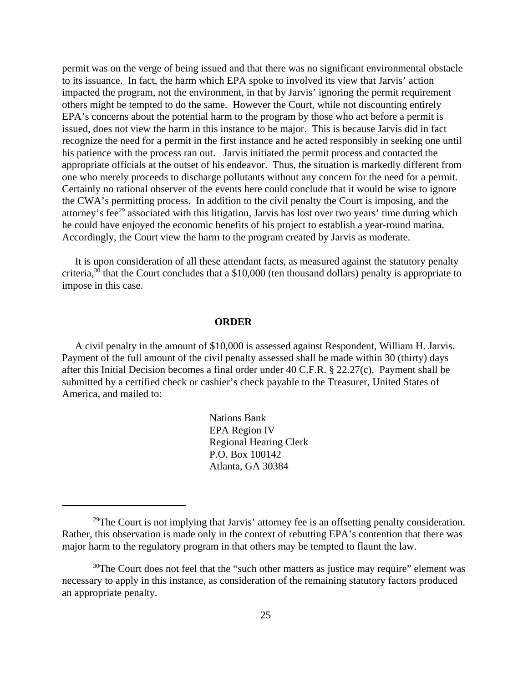permit was on the verge of being issued and that there was no significant environmental obstacle to its issuance. In fact, the harm which EPA spoke to involved its view that Jarvis' action impacted the program, not the environment, in that by Jarvis' ignoring the permit requirement others might be tempted to do the same. However the Court, while not discounting entirely EPA's concerns about the potential harm to the program by those who act before a permit is issued, does not view the harm in this instance to be major. This is because Jarvis did in fact recognize the need for a permit in the first instance and he acted responsibly in seeking one until his patience with the process ran out. Jarvis initiated the permit process and contacted the appropriate officials at the outset of his endeavor. Thus, the situation is markedly different from one who merely proceeds to discharge pollutants without any concern for the need for a permit. Certainly no rational observer of the events here could conclude that it would be wise to ignore the CWA's permitting process. In addition to the civil penalty the Court is imposing, and the attorney's fee<sup>29</sup> associated with this litigation, Jarvis has lost over two years' time during which he could have enjoyed the economic benefits of his project to establish a year-round marina. Accordingly, the Court view the harm to the program created by Jarvis as moderate.

It is upon consideration of all these attendant facts, as measured against the statutory penalty criteria,<sup>30</sup> that the Court concludes that a \$10,000 (ten thousand dollars) penalty is appropriate to impose in this case.

### **ORDER**

A civil penalty in the amount of \$10,000 is assessed against Respondent, William H. Jarvis. Payment of the full amount of the civil penalty assessed shall be made within 30 (thirty) days after this Initial Decision becomes a final order under 40 C.F.R. § 22.27(c). Payment shall be submitted by a certified check or cashier's check payable to the Treasurer, United States of America, and mailed to:

> Nations Bank EPA Region IV Regional Hearing Clerk P.O. Box 100142 Atlanta, GA 30384

<sup>&</sup>lt;sup>29</sup>The Court is not implying that Jarvis' attorney fee is an offsetting penalty consideration. Rather, this observation is made only in the context of rebutting EPA's contention that there was major harm to the regulatory program in that others may be tempted to flaunt the law.

 $30$ The Court does not feel that the "such other matters as justice may require" element was necessary to apply in this instance, as consideration of the remaining statutory factors produced an appropriate penalty.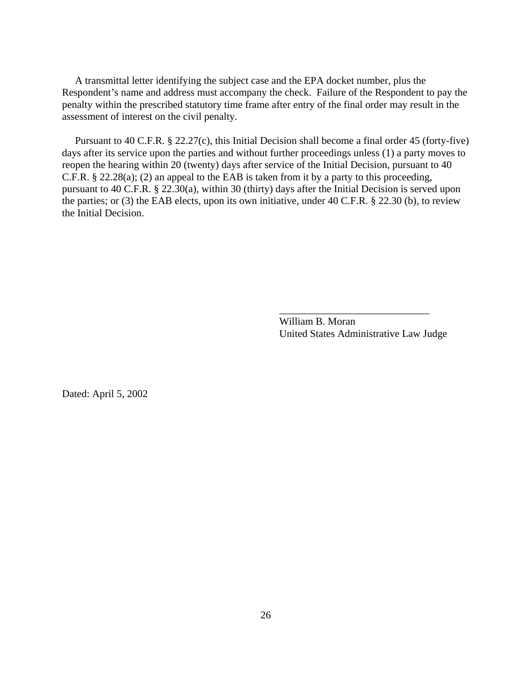A transmittal letter identifying the subject case and the EPA docket number, plus the Respondent's name and address must accompany the check. Failure of the Respondent to pay the penalty within the prescribed statutory time frame after entry of the final order may result in the assessment of interest on the civil penalty.

Pursuant to 40 C.F.R. § 22.27(c), this Initial Decision shall become a final order 45 (forty-five) days after its service upon the parties and without further proceedings unless (1) a party moves to reopen the hearing within 20 (twenty) days after service of the Initial Decision, pursuant to 40 C.F.R. § 22.28(a); (2) an appeal to the EAB is taken from it by a party to this proceeding, pursuant to 40 C.F.R. § 22.30(a), within 30 (thirty) days after the Initial Decision is served upon the parties; or (3) the EAB elects, upon its own initiative, under 40 C.F.R. § 22.30 (b), to review the Initial Decision.

> William B. Moran United States Administrative Law Judge

\_\_\_\_\_\_\_\_\_\_\_\_\_\_\_\_\_\_\_\_\_\_\_\_\_\_\_\_\_

Dated: April 5, 2002